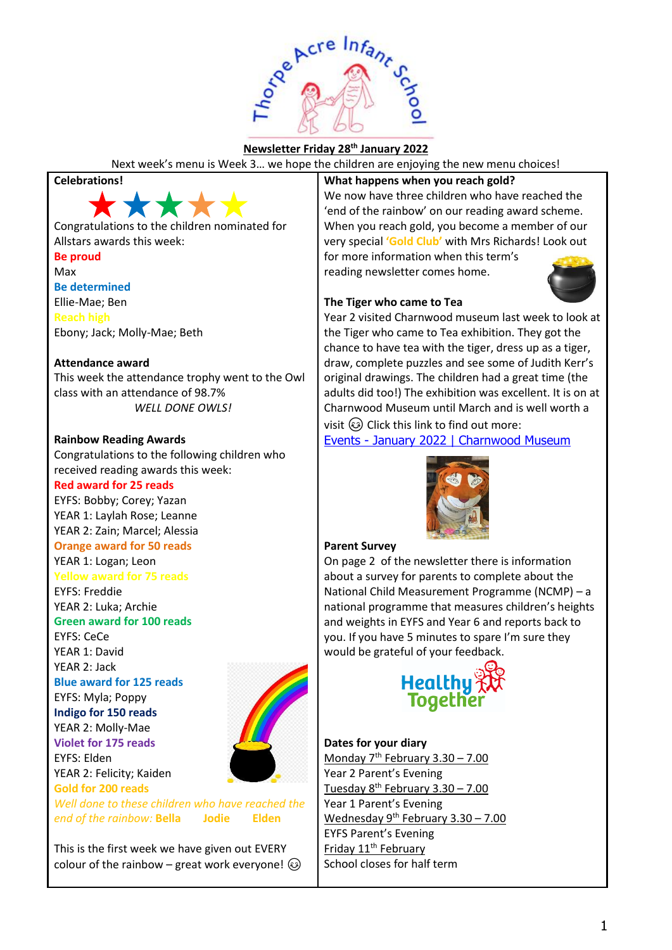

## **Newsletter Friday 28th January 2022**

Next week's menu is Week 3… we hope the children are enjoying the new menu choices!

#### **Celebrations!**



Congratulations to the children nominated for Allstars awards this week: **Be proud**

Max **Be determined** Ellie-Mae; Ben **Reach high** Ebony; Jack; Molly-Mae; Beth

#### **Attendance award**

This week the attendance trophy went to the Owl class with an attendance of 98.7% *WELL DONE OWLS!*

#### **Rainbow Reading Awards**

Congratulations to the following children who received reading awards this week: **Red award for 25 reads**

EYFS: Bobby; Corey; Yazan YEAR 1: Laylah Rose; Leanne YEAR 2: Zain; Marcel; Alessia

## **Orange award for 50 reads**

YEAR 1: Logan; Leon

### **Yellow award for 75 reads**

EYFS: Freddie YEAR 2: Luka; Archie

**Green award for 100 reads**

EYFS: CeCe YEAR 1: David YEAR 2: Jack

**Blue award for 125 reads**

EYFS: Myla; Poppy **Indigo for 150 reads** YEAR 2: Molly-Mae **Violet for 175 reads**

YEAR 2: Felicity; Kaiden **Gold for 200 reads**

EYFS: Elden



*Well done to these children who have reached the end of the rainbow:* **Bella Jodie Elden**

This is the first week we have given out EVERY colour of the rainbow – great work everyone!  $\odot$ 

### **What happens when you reach gold?**

We now have three children who have reached the 'end of the rainbow' on our reading award scheme. When you reach gold, you become a member of our very special **'Gold Club'** with Mrs Richards! Look out for more information when this term's

reading newsletter comes home.



### **The Tiger who came to Tea**

Year 2 visited Charnwood museum last week to look at the Tiger who came to Tea exhibition. They got the chance to have tea with the tiger, dress up as a tiger, draw, complete puzzles and see some of Judith Kerr's original drawings. The children had a great time (the adults did too!) The exhibition was excellent. It is on at Charnwood Museum until March and is well worth a visit  $\circled{c}$  Click this link to find out more:

Events - [January 2022 | Charnwood Museum](https://www.charnwoodmuseum.co.uk/events/2022/01/the-tiger-who-came-to-tea)



#### **Parent Survey**

On page 2 of the newsletter there is information about a survey for parents to complete about the National Child Measurement Programme (NCMP) – a national programme that measures children's heights and weights in EYFS and Year 6 and reports back to you. If you have 5 minutes to spare I'm sure they would be grateful of your feedback.



#### **Dates for your diary**

Monday  $7<sup>th</sup>$  February 3.30 – 7.00 Year 2 Parent's Evening <u>Tuesday 8<sup>th</sup> February 3.30 – 7.00</u> Year 1 Parent's Evening Wednesday  $9^{th}$  February 3.30 – 7.00 EYFS Parent's Evening Friday 11<sup>th</sup> February School closes for half term